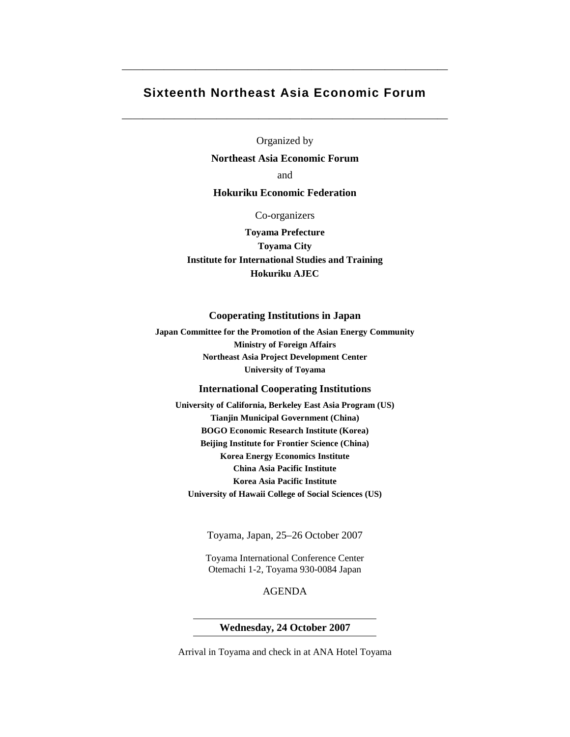# **Sixteenth Northeast Asia Economic Forum**

———————————————————————————————

———————————————————————————————

Organized by

**Northeast Asia Economic Forum** 

and

# **Hokuriku Economic Federation**

Co-organizers

**Toyama Prefecture Toyama City Institute for International Studies and Training Hokuriku AJEC**

### **Cooperating Institutions in Japan**

**Japan Committee for the Promotion of the Asian Energy Community Ministry of Foreign Affairs Northeast Asia Project Development Center University of Toyama** 

### **International Cooperating Institutions**

**University of California, Berkeley East Asia Program (US) Tianjin Municipal Government (China) BOGO Economic Research Institute (Korea) Beijing Institute for Frontier Science (China) Korea Energy Economics Institute China Asia Pacific Institute Korea Asia Pacific Institute University of Hawaii College of Social Sciences (US)** 

Toyama, Japan, 25–26 October 2007

Toyama International Conference Center Otemachi 1-2, Toyama 930-0084 Japan

### AGENDA

### **Wednesday, 24 October 2007**

Arrival in Toyama and check in at ANA Hotel Toyama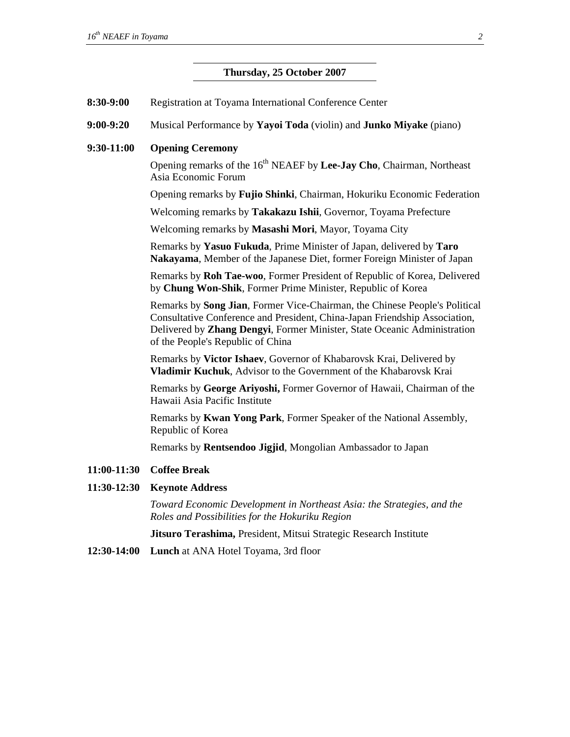### **Thursday, 25 October 2007**

| 8:30-9:00 | Registration at Toyama International Conference Center |
|-----------|--------------------------------------------------------|
|-----------|--------------------------------------------------------|

**9:00-9:20** Musical Performance by **Yayoi Toda** (violin) and **Junko Miyake** (piano)

## **9:30-11:00 Opening Ceremony**

Opening remarks of the 16<sup>th</sup> NEAEF by Lee-Jay Cho, Chairman, Northeast Asia Economic Forum

Opening remarks by **Fujio Shinki**, Chairman, Hokuriku Economic Federation

Welcoming remarks by **Takakazu Ishii**, Governor, Toyama Prefecture

Welcoming remarks by **Masashi Mori**, Mayor, Toyama City

Remarks by **Yasuo Fukuda**, Prime Minister of Japan, delivered by **Taro Nakayama**, Member of the Japanese Diet, former Foreign Minister of Japan

Remarks by **Roh Tae-woo**, Former President of Republic of Korea, Delivered by **Chung Won-Shik**, Former Prime Minister, Republic of Korea

Remarks by **Song Jian**, Former Vice-Chairman, the Chinese People's Political Consultative Conference and President, China-Japan Friendship Association, Delivered by **Zhang Dengyi**, Former Minister, State Oceanic Administration of the People's Republic of China

Remarks by **Victor Ishaev**, Governor of Khabarovsk Krai, Delivered by **Vladimir Kuchuk**, Advisor to the Government of the Khabarovsk Krai

Remarks by **George Ariyoshi,** Former Governor of Hawaii, Chairman of the Hawaii Asia Pacific Institute

Remarks by **Kwan Yong Park**, Former Speaker of the National Assembly, Republic of Korea

Remarks by **Rentsendoo Jigjid**, Mongolian Ambassador to Japan

### **11:00-11:30 Coffee Break**

**11:30-12:30 Keynote Address** 

*Toward Economic Development in Northeast Asia: the Strategies, and the Roles and Possibilities for the Hokuriku Region* 

**Jitsuro Terashima,** President, Mitsui Strategic Research Institute

**12:30-14:00 Lunch** at ANA Hotel Toyama, 3rd floor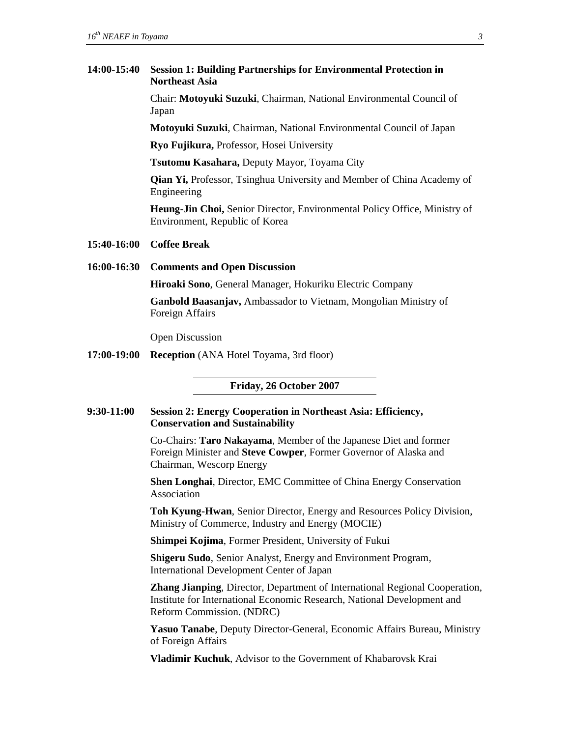# **14:00-15:40 Session 1: Building Partnerships for Environmental Protection in Northeast Asia**

Chair: **Motoyuki Suzuki**, Chairman, National Environmental Council of Japan

**Motoyuki Suzuki**, Chairman, National Environmental Council of Japan

**Ryo Fujikura,** Professor, Hosei University

**Tsutomu Kasahara,** Deputy Mayor, Toyama City

**Qian Yi,** Professor, Tsinghua University and Member of China Academy of Engineering

**Heung-Jin Choi,** Senior Director, Environmental Policy Office, Ministry of Environment, Republic of Korea

- **15:40-16:00 Coffee Break**
- **16:00-16:30 Comments and Open Discussion**

**Hiroaki Sono**, General Manager, Hokuriku Electric Company

**Ganbold Baasanjav,** Ambassador to Vietnam, Mongolian Ministry of Foreign Affairs

Open Discussion

**17:00-19:00 Reception** (ANA Hotel Toyama, 3rd floor)

**Friday, 26 October 2007** 

# **9:30-11:00 Session 2: Energy Cooperation in Northeast Asia: Efficiency, Conservation and Sustainability**

Co-Chairs: **Taro Nakayama**, Member of the Japanese Diet and former Foreign Minister and **Steve Cowper**, Former Governor of Alaska and Chairman, Wescorp Energy

**Shen Longhai**, Director, EMC Committee of China Energy Conservation Association

**Toh Kyung-Hwan**, Senior Director, Energy and Resources Policy Division, Ministry of Commerce, Industry and Energy (MOCIE)

**Shimpei Kojima**, Former President, University of Fukui

**Shigeru Sudo**, Senior Analyst, Energy and Environment Program, International Development Center of Japan

**Zhang Jianping**, Director, Department of International Regional Cooperation, Institute for International Economic Research, National Development and Reform Commission. (NDRC)

**Yasuo Tanabe**, Deputy Director-General, Economic Affairs Bureau, Ministry of Foreign Affairs

**Vladimir Kuchuk**, Advisor to the Government of Khabarovsk Krai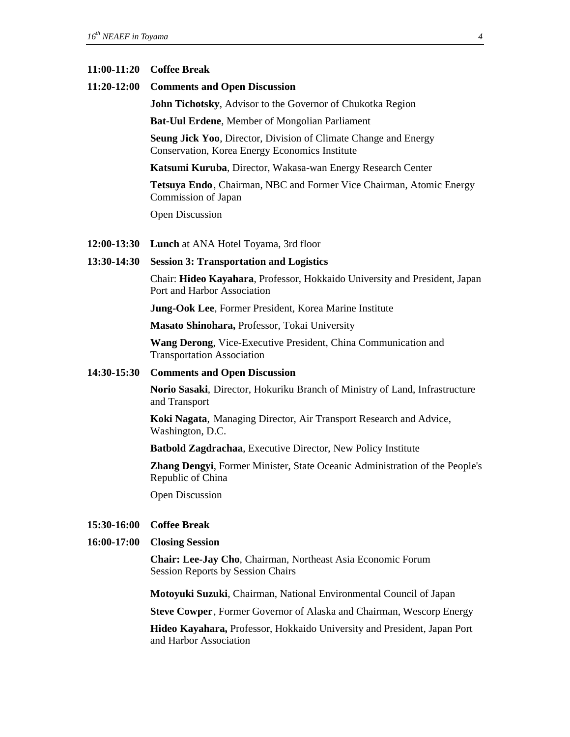#### **11:00-11:20 Coffee Break**

**11:20-12:00 Comments and Open Discussion** 

**John Tichotsky**, Advisor to the Governor of Chukotka Region

**Bat-Uul Erdene**, Member of Mongolian Parliament

**Seung Jick Yoo**, Director, Division of Climate Change and Energy Conservation, Korea Energy Economics Institute

**Katsumi Kuruba**, Director, Wakasa-wan Energy Research Center

**Tetsuya Endo** , Chairman, NBC and Former Vice Chairman, Atomic Energy Commission of Japan

Open Discussion

**12:00-13:30 Lunch** at ANA Hotel Toyama, 3rd floor

### **13:30-14:30 Session 3: Transportation and Logistics**

Chair: **Hideo Kayahara**, Professor, Hokkaido University and President, Japan Port and Harbor Association

**Jung-Ook Lee**, Former President, Korea Marine Institute

**Masato Shinohara,** Professor, Tokai University

**Wang Derong**, Vice-Executive President, China Communication and Transportation Association

### **14:30-15:30 Comments and Open Discussion**

**Norio Sasaki**, Director, Hokuriku Branch of Ministry of Land, Infrastructure and Transport

**Koki Nagata**, Managing Director, Air Transport Research and Advice, Washington, D.C.

**Batbold Zagdrachaa**, Executive Director, New Policy Institute

**Zhang Dengyi**, Former Minister, State Oceanic Administration of the People's Republic of China

Open Discussion

#### **15:30-16:00 Coffee Break**

### **16:00-17:00 Closing Session**

**Chair: Lee-Jay Cho**, Chairman, Northeast Asia Economic Forum Session Reports by Session Chairs

**Motoyuki Suzuki**, Chairman, National Environmental Council of Japan

**Steve Cowper** , Former Governor of Alaska and Chairman, Wescorp Energy

**Hideo Kayahara,** Professor, Hokkaido University and President, Japan Port and Harbor Association